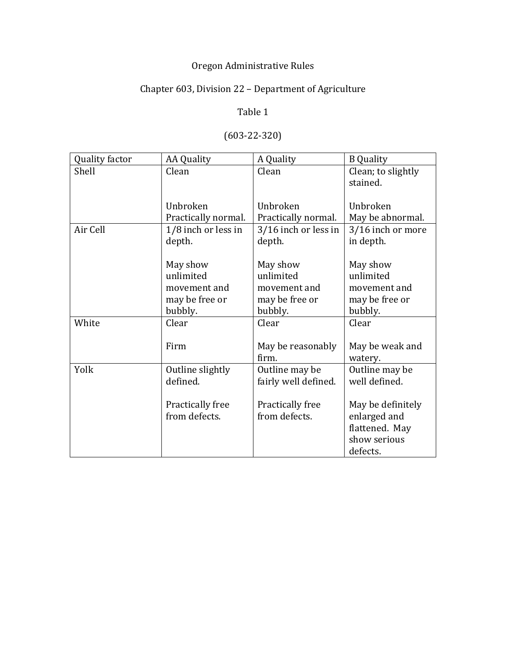# Oregon Administrative Rules

# Chapter 603, Division 22 - Department of Agriculture

# Table 1

| Quality factor | <b>AA Quality</b>     | A Quality            | <b>B</b> Quality   |
|----------------|-----------------------|----------------------|--------------------|
| Shell          | Clean                 | Clean                | Clean; to slightly |
|                |                       |                      | stained.           |
|                |                       |                      |                    |
|                | Unbroken              | Unbroken             | Unbroken           |
|                | Practically normal.   | Practically normal.  | May be abnormal.   |
| Air Cell       | $1/8$ inch or less in | 3/16 inch or less in | 3/16 inch or more  |
|                | depth.                | depth.               | in depth.          |
|                |                       |                      |                    |
|                | May show              | May show             | May show           |
|                | unlimited             | unlimited            | unlimited          |
|                | movement and          | movement and         | movement and       |
|                | may be free or        | may be free or       | may be free or     |
|                | bubbly.               | bubbly.              | bubbly.            |
| White          | Clear                 | Clear                | Clear              |
|                |                       |                      |                    |
|                | Firm                  | May be reasonably    | May be weak and    |
|                |                       | firm.                | watery.            |
| Yolk           | Outline slightly      | Outline may be       | Outline may be     |
|                | defined.              | fairly well defined. | well defined.      |
|                |                       |                      |                    |
|                | Practically free      | Practically free     | May be definitely  |
|                | from defects.         | from defects.        | enlarged and       |
|                |                       |                      | flattened. May     |
|                |                       |                      | show serious       |
|                |                       |                      | defects.           |

# (603-22-320)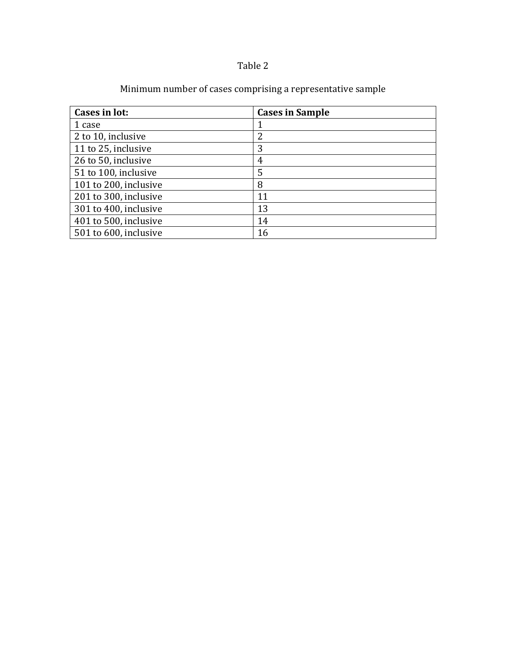# Table 2

| Cases in lot:         | <b>Cases in Sample</b> |
|-----------------------|------------------------|
| 1 case                |                        |
| 2 to 10, inclusive    | 2                      |
| 11 to 25, inclusive   | 3                      |
| 26 to 50, inclusive   | 4                      |
| 51 to 100, inclusive  | 5                      |
| 101 to 200, inclusive | 8                      |
| 201 to 300, inclusive | 11                     |
| 301 to 400, inclusive | 13                     |
| 401 to 500, inclusive | 14                     |
| 501 to 600, inclusive | 16                     |

# Minimum number of cases comprising a representative sample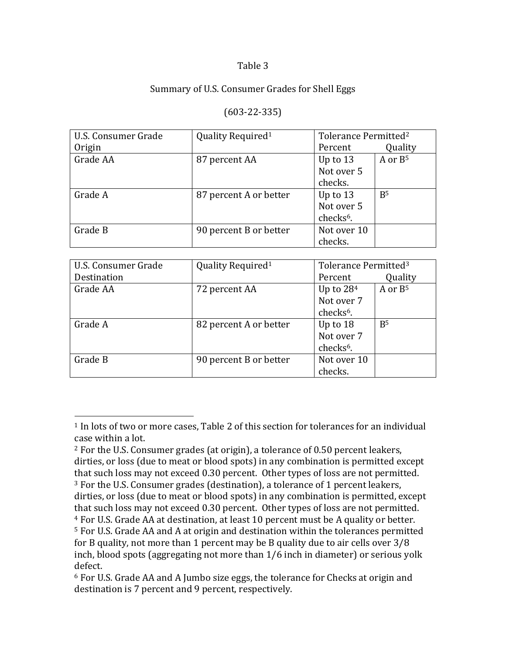#### Table 3

#### Summary of U.S. Consumer Grades for Shell Eggs

#### (603-22-335)

| U.S. Consumer Grade | Quality Required <sup>1</sup> | Tolerance Permitted <sup>2</sup> |                |
|---------------------|-------------------------------|----------------------------------|----------------|
| Origin              |                               | Percent                          | Quality        |
| Grade AA            | 87 percent AA                 | Up to $13$                       | A or $B^5$     |
|                     |                               | Not over 5                       |                |
|                     |                               | checks.                          |                |
| Grade A             | 87 percent A or better        | Up to $13$                       | B <sub>5</sub> |
|                     |                               | Not over 5                       |                |
|                     |                               | checks <sup>6</sup> .            |                |
| Grade B             | 90 percent B or better        | Not over 10                      |                |
|                     |                               | checks.                          |                |

| U.S. Consumer Grade | Quality Required <sup>1</sup> | Tolerance Permitted <sup>3</sup> |                |
|---------------------|-------------------------------|----------------------------------|----------------|
| Destination         |                               | Percent                          | Quality        |
| Grade AA            | 72 percent AA                 | Up to $284$                      | A or $B^5$     |
|                     |                               | Not over 7                       |                |
|                     |                               | checks <sup>6</sup> .            |                |
| Grade A             | 82 percent A or better        | Up to $18$                       | B <sup>5</sup> |
|                     |                               | Not over 7                       |                |
|                     |                               | checks <sup>6</sup> .            |                |
| Grade B             | 90 percent B or better        | Not over 10                      |                |
|                     |                               | checks.                          |                |

 

 $1$  In lots of two or more cases, Table 2 of this section for tolerances for an individual case within a lot.

 $2$  For the U.S. Consumer grades (at origin), a tolerance of 0.50 percent leakers, dirties, or loss (due to meat or blood spots) in any combination is permitted except that such loss may not exceed 0.30 percent. Other types of loss are not permitted.  $3$  For the U.S. Consumer grades (destination), a tolerance of 1 percent leakers,

dirties, or loss (due to meat or blood spots) in any combination is permitted, except that such loss may not exceed 0.30 percent. Other types of loss are not permitted.

<sup>&</sup>lt;sup>4</sup> For U.S. Grade AA at destination, at least 10 percent must be A quality or better.

<sup>&</sup>lt;sup>5</sup> For U.S. Grade AA and A at origin and destination within the tolerances permitted for B quality, not more than 1 percent may be B quality due to air cells over  $3/8$ inch, blood spots (aggregating not more than  $1/6$  inch in diameter) or serious yolk defect. 

 $6$  For U.S. Grade AA and A Jumbo size eggs, the tolerance for Checks at origin and destination is 7 percent and 9 percent, respectively.